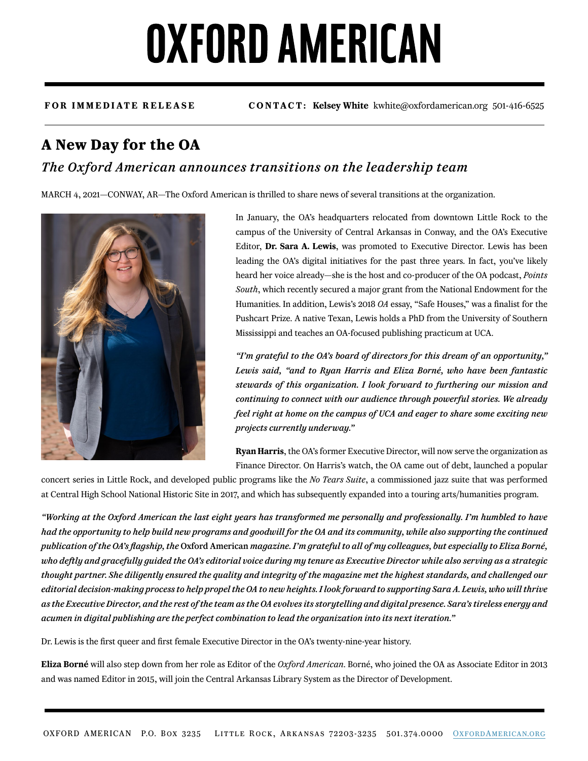# **OXFORD AMERICAN**

**FOR IMMEDIATE RELEASE CONTACT: Kelsey White** kwhite@oxfordamerican.org 501-416-6525

### **A New Day for the OA**

### *The Oxford American announces transitions on the leadership team*

MARCH 4, 2021—CONWAY, AR—The Oxford American is thrilled to share news of several transitions at the organization.



In January, the OA's headquarters relocated from downtown Little Rock to the campus of the University of Central Arkansas in Conway, and the OA's Executive Editor, **Dr. Sara A. Lewis**, was promoted to Executive Director. Lewis has been leading the OA's digital initiatives for the past three years. In fact, you've likely heard her voice already—she is the host and co-producer of the OA podcast, *Points South*, which recently secured a major grant from the National Endowment for the Humanities. In addition, Lewis's 2018 *OA* essay, "Safe Houses," was a finalist for the Pushcart Prize. A native Texan, Lewis holds a PhD from the University of Southern Mississippi and teaches an OA-focused publishing practicum at UCA.

*"I'm grateful to the OA's board of directors for this dream of an opportunity," Lewis said, "and to Ryan Harris and Eliza Borné, who have been fantastic stewards of this organization. I look forward to furthering our mission and continuing to connect with our audience through powerful stories. We already feel right at home on the campus of UCA and eager to share some exciting new projects currently underway."*

**Ryan Harris**, the OA's former Executive Director, will now serve the organization as Finance Director. On Harris's watch, the OA came out of debt, launched a popular

concert series in Little Rock, and developed public programs like the *No Tears Suite*, a commissioned jazz suite that was performed at Central High School National Historic Site in 2017, and which has subsequently expanded into a touring arts/humanities program.

*"Working at the Oxford American the last eight years has transformed me personally and professionally. I'm humbled to have had the opportunity to help build new programs and goodwill for the OA and its community, while also supporting the continued publication of the OA's flagship, the* Oxford American *magazine. I'm grateful to all of my colleagues, but especially to Eliza Borné, who deftly and gracefully guided the OA's editorial voice during my tenure as Executive Director while also serving as a strategic thought partner. She diligently ensured the quality and integrity of the magazine met the highest standards, and challenged our editorial decision-making process to help propel the OA to new heights. I look forward to supporting Sara A. Lewis, who will thrive as the Executive Director, and the rest of the team as the OA evolves its storytelling and digital presence. Sara's tireless energy and acumen in digital publishing are the perfect combination to lead the organization into its next iteration."*

Dr. Lewis is the first queer and first female Executive Director in the OA's twenty-nine-year history.

**Eliza Borné** will also step down from her role as Editor of the *Oxford American*. Borné, who joined the OA as Associate Editor in 2013 and was named Editor in 2015, will join the Central Arkansas Library System as the Director of Development.